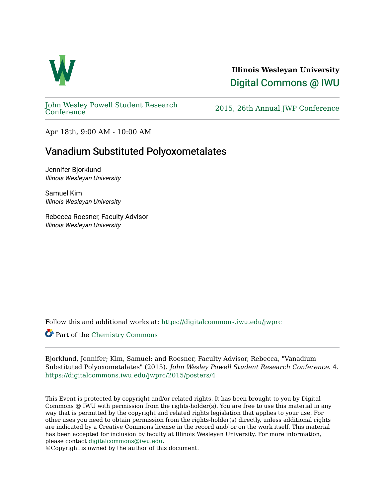

**Illinois Wesleyan University**  [Digital Commons @ IWU](https://digitalcommons.iwu.edu/) 

[John Wesley Powell Student Research](https://digitalcommons.iwu.edu/jwprc) 

2015, 26th Annual JWP [Conference](https://digitalcommons.iwu.edu/jwprc)

Apr 18th, 9:00 AM - 10:00 AM

## Vanadium Substituted Polyoxometalates

Jennifer Bjorklund Illinois Wesleyan University

Samuel Kim Illinois Wesleyan University

Rebecca Roesner, Faculty Advisor Illinois Wesleyan University

Follow this and additional works at: [https://digitalcommons.iwu.edu/jwprc](https://digitalcommons.iwu.edu/jwprc?utm_source=digitalcommons.iwu.edu%2Fjwprc%2F2015%2Fposters%2F4&utm_medium=PDF&utm_campaign=PDFCoverPages) 

Part of the [Chemistry Commons](http://network.bepress.com/hgg/discipline/131?utm_source=digitalcommons.iwu.edu%2Fjwprc%2F2015%2Fposters%2F4&utm_medium=PDF&utm_campaign=PDFCoverPages) 

Bjorklund, Jennifer; Kim, Samuel; and Roesner, Faculty Advisor, Rebecca, "Vanadium Substituted Polyoxometalates" (2015). John Wesley Powell Student Research Conference. 4. [https://digitalcommons.iwu.edu/jwprc/2015/posters/4](https://digitalcommons.iwu.edu/jwprc/2015/posters/4?utm_source=digitalcommons.iwu.edu%2Fjwprc%2F2015%2Fposters%2F4&utm_medium=PDF&utm_campaign=PDFCoverPages) 

This Event is protected by copyright and/or related rights. It has been brought to you by Digital Commons @ IWU with permission from the rights-holder(s). You are free to use this material in any way that is permitted by the copyright and related rights legislation that applies to your use. For other uses you need to obtain permission from the rights-holder(s) directly, unless additional rights are indicated by a Creative Commons license in the record and/ or on the work itself. This material has been accepted for inclusion by faculty at Illinois Wesleyan University. For more information, please contact [digitalcommons@iwu.edu.](mailto:digitalcommons@iwu.edu)

©Copyright is owned by the author of this document.